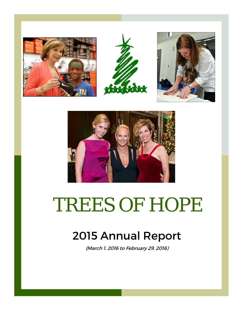







# TREES OF HOPE

# 2015 Annual Report

(March 1, 2016 to February 29, 2016)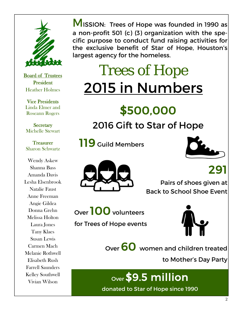

Board of Trustees **President** Heather Holmes

Vice Presidents Linda Elmer and Roseann Rogers

**Secretary** Michelle Stewart

**Treasurer** Sharon Schwartz

Wendy Askew Shanna Bass Amanda Davis Lesha Elsenbrook Natalie Faust Anne Freeman Angie Gildea Donna Grehn Melissa Holton Laura Jones Tany Klaes Susan Lewis Carmen Mach Melanie Rothwell Elisabeth Rush Farrell Saunders Kelley Southwell Vivian Wilson

**MISSION: Trees of Hope was founded in 1990 as** a non-profit 501 (c) (3) organization with the specific purpose to conduct fund raising activities for the exclusive benefit of Star of Hope, Houston's largest agency for the homeless.

# Trees of Hope 2015 in Numbers

# \$500,000

## 2016 Gift to Star of Hope

 119 Guild Members





291 Pairs of shoes given at Back to School Shoe Event

Over 100 volunteers

for Trees of Hope events



Over 60 women and children treated

to Mother's Day Party

Over \$9.5 million

donated to Star of Hope since 1990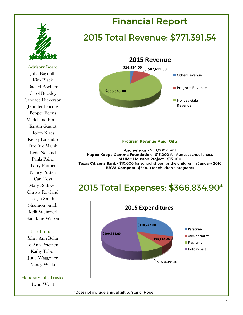

Advisory Board Julie Bayouth Kim Black Rachel Boehler Carol Buckley Candace Dickerson Jennifer Ducote Pepper Edens Madeleine Elmer Kristin Gauntt Robin Klaes Kelley Lubanko DeeDee Marsh Leda Netland Paula Paine Terry Prather Nancy Pustka Cari Ross Mary Rothwell Christy Rowland Leigh Smith Shannon Smith Kelli Weinzierl Sara Jane Wilson

#### Life Trustees

Mary Ann Belin Jo Ann Petersen Kathy Tabor June Waggoner Nancy Walker

Honorary Life Trustee Lynn Wyatt

## Financial Report

### 2015 Total Revenue: \$771,391.54



#### **Program Revenue Major Gifts**

Anonymous - \$50,000 grant Kappa Kappa Gamma Foundation - \$15,000 for August school shoes SLUMC Houston Project - \$15,000 Texas Citizens Bank - \$10,000 for school shoes for the children in January 2016 BBVA Compass - \$5,000 for children's programs

#### 2015 Total Expenses: \$366,834.90\*



\*Does not include annual gift to Star of Hope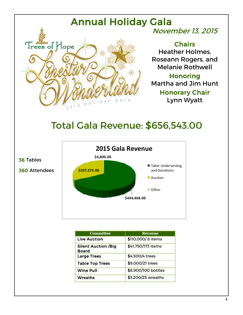# Annual Holiday Gala



## November 13, 2015

**Chairs** Heather Holmes, Roseann Rogers, and Melanie Rothwell

Honoring Martha and Jim Hunt Honorary Chair Lynn Wyatt

# Total Gala Revenue: \$656,543.00



| <b>Committee</b>                           | <b>Revenue</b>      |
|--------------------------------------------|---------------------|
| <b>Live Auction</b>                        | \$110,000/8 items   |
| <b>Silent Auction /Big</b><br><b>Board</b> | \$41,750/173 items  |
| <b>Large Trees</b>                         | \$4,500/4 trees     |
| <b>Table Top Trees</b>                     | \$9,000/21 trees    |
| <b>Wine Pull</b>                           | \$8,900/100 bottles |
| Wreaths                                    | \$3,200/25 wreaths  |

36 Tables

360 Attendees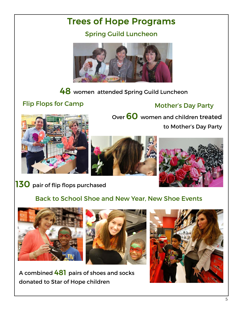## Trees of Hope Programs

Spring Guild Luncheon



48 women attended Spring Guild Luncheon

#### Flip Flops for Camp

Mother's Day Party

Over 60 women and children treated







to Mother's Day Party

130 pair of flip flops purchased

#### Back to School Shoe and New Year, New Shoe Events





A combined 481 pairs of shoes and socks donated to Star of Hope children

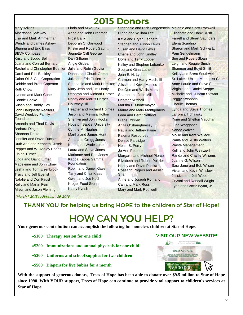### 2015 Donors

Mary Adkins

Albertsons Safeway Lisa and Mark Ammerman Wendy and James Askew Shanna and Eric Bass BBVA Compass Kristi and Bobby Bell Juana and Conrad Bernard Rachel and Christopher Boehler Carol and Rihl Buckley Cabot Oil & Gas Corporation Debbie and Brent Caperton Ruth Chow Lynette and Mark Cone Connie Cooke Susan and Buddy Cox **John Daugherty Realtors** David Weekley Family **Foundation** Amanda and Thad Davis Barbara Dinges Shannon Drake Jennifer and David Ducote Ruth Ann and Kenneth Dusek Pepper and W. Ashley Edens Elaine Turner Linda and David Elmer Madeleine and John Elmer **Lesha and Tom Elsenbrook** Tracy and Jeff Everist Natalie and Don Faust Kelly and Martin Fein **Alison and Jason Fleming** 

Linda and Mike Fox Anne and John Freeman Frost Bank Deborah C. Garwood Kristin and Robert Gauntt Jeanette Clift George Dan Gilbane Angie Gildea Julie and Robin Goytia Donna and Chuck Grehn Julia and Eric Gutierrez Stephanie and Mark Hamilton Mary Jean and Jim Hardy Deborah and Richard Harper Nancy and Morris Harper Courtney Hill Heather and Richard Holmes Jason and Melissa Holton Sherilyn and John Hooks **Houston Baptist University** Cynthe M. Hughes Martha and James Hunt Anna and Gregg Jones Karen and Wade Jones Laura and Steve Jones Marianne and Rob Jones Kappa Kappa Gamma Foundation Robin and Daniel Klaes Tany and Chaz Klaes Gwen and Joe Koch Kroger Food Stores

Stephanie and Rich Langenstein Melanie and Scott Rothwell Diane and William Lee Katie and Bryan Leonard Stephen and Allison Lewis Susan and David Lewis Cherie and John Lindley Doris and Terry Looper Kelley and Stephen Lubanko Scot and Gina Luther Joan E. H. Lyons Carmen and Harry Mach, III Alissa and Kevin Maples DeeDee and Wallis Marsh Sharon and John Mills Heather Mitchell Marsha L. Montemayor Maura and Mark Montgomery Leda and Bernt Netland Diane O'Brien Anita O'Shaughnessy Paula and Jeffrey Paine Paloma Resources Denise Partridge Helen S. Perry Jo Ann Petersen Margaret and Michael Pierce Elizabeth and Robert Poirrier Nancy and David Pustka Roseann Rogers and Aasish Shah Anne and Joseph Romano

Cari and Mark Ross Mary and Mark Rothwell Elisabeth and Hank Rush Farrell and Stuart Saunders Elena Scardino Sharon and Mark Schwartz Pam Sengelmann Sue and Robert Sloan Leigh and Reggie Smith Shannon and Boyd Smith Kelley and Brent Southwell St. Luke's United Methodist Church Anne-Laurie and Steve Stephens Virginia and Daniel Steppe Michelle and Duncan Stewart Peggy Swoboda Charlie Thomas Lynda and Steve Thomas LaTonya Tichavsky Yone and Shelton Vaughan June Waggoner Nancy Walker Mollie and Kent Wallace Paula and Rusty Walters Waste Management Kelli and John Weinzierl Randa and Charlie Williams Joanne G. Wilson Sara Jane and Bob Wilson Vivian and Kevin Winslow Jessica and Jeff Wood Crystal and Randall Wright Lynn and Oscar Wyatt, Jr.

\*March 1, 2015 to February 29, 2016

THANK YOU for helping us bring HOPE to the children of Star of Hope!

# HOW CAN YOU HELP?

**Your generous contribution can accomplish the following for homeless children at Star of Hope:** 

- **\$100 Therapy session for one child**
- **\$200 Immunizations and annual physicals for one child**
- **\$300 Uniforms and school supplies for two children**

Kathy Kyrish

**\$500 Diapers for five babies for a month** 

**With the support of generous donors, Trees of Hope has been able to donate over \$9.5 million to Star of Hope since 1990. With YOUR support, Trees of Hope can continue to provide vital support to children's services at Star of Hope.** 

#### VISIT OUR NEW WEBSITE!

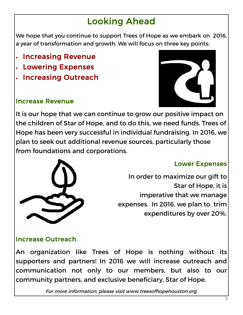# Looking Ahead

We hope that you continue to support Trees of Hope as we embark on 2016, a year of transformation and growth. We will focus on three key points:

- Increasing Revenue
- Lowering Expenses
- Increasing Outreach

#### Increase Revenue



It is our hope that we can continue to grow our positive impact on the children of Star of Hope, and to do this, we need funds. Trees of Hope has been very successful in individual fundraising. In 2016, we plan to seek out additional revenue sources, particularly those from foundations and corporations.



#### Lower Expenses

In order to maximize our gift to Star of Hope, it is imperative that we manage expenses. In 2016, we plan to trim expenditures by over 20%.

#### Increase Outreach

An organization like Trees of Hope is nothing without its supporters and partners! In 2016 we will increase outreach and communication not only to our members, but also to our community partners, and exclusive beneficiary, Star of Hope.

For more information, please visit www.treesofhopehouston.org.